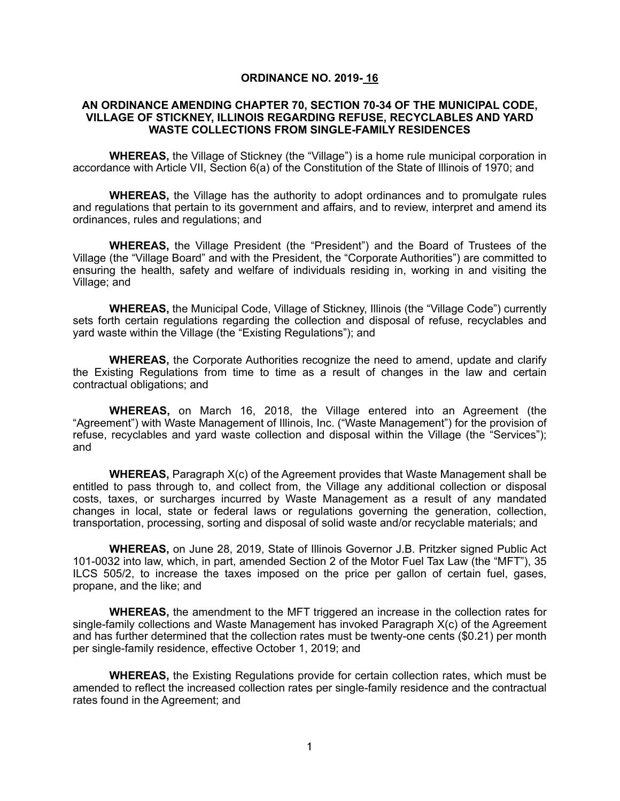### **ORDINANCE NO. 2019- 16**

### **AN ORDINANCE AMENDING CHAPTER 70, SECTION 70-34 OF THE MUNICIPAL CODE, VILLAGE OF STICKNEY, ILLINOIS REGARDING REFUSE, RECYCLABLES AND YARD WASTE COLLECTIONS FROM SINGLE-FAMILY RESIDENCES**

**WHEREAS,** the Village of Stickney (the "Village") is a home rule municipal corporation in accordance with Article VII, Section 6(a) of the Constitution of the State of Illinois of 1970; and

**WHEREAS,** the Village has the authority to adopt ordinances and to promulgate rules and regulations that pertain to its government and affairs, and to review, interpret and amend its ordinances, rules and regulations; and

**WHEREAS,** the Village President (the "President") and the Board of Trustees of the Village (the "Village Board" and with the President, the "Corporate Authorities") are committed to ensuring the health, safety and welfare of individuals residing in, working in and visiting the Village; and

**WHEREAS,** the Municipal Code, Village of Stickney, Illinois (the "Village Code") currently sets forth certain regulations regarding the collection and disposal of refuse, recyclables and yard waste within the Village (the "Existing Regulations"); and

**WHEREAS,** the Corporate Authorities recognize the need to amend, update and clarify the Existing Regulations from time to time as a result of changes in the law and certain contractual obligations; and

**WHEREAS,** on March 16, 2018, the Village entered into an Agreement (the "Agreement") with Waste Management of Illinois, Inc. ("Waste Management") for the provision of refuse, recyclables and yard waste collection and disposal within the Village (the "Services"); and

**WHEREAS,** Paragraph X(c) of the Agreement provides that Waste Management shall be entitled to pass through to, and collect from, the Village any additional collection or disposal costs, taxes, or surcharges incurred by Waste Management as a result of any mandated changes in local, state or federal laws or regulations governing the generation, collection, transportation, processing, sorting and disposal of solid waste and/or recyclable materials; and

**WHEREAS,** on June 28, 2019, State of Illinois Governor J.B. Pritzker signed Public Act 101-0032 into law, which, in part, amended Section 2 of the Motor Fuel Tax Law (the "MFT"), 35 ILCS 505/2, to increase the taxes imposed on the price per gallon of certain fuel, gases, propane, and the like; and

**WHEREAS,** the amendment to the MFT triggered an increase in the collection rates for single-family collections and Waste Management has invoked Paragraph X(c) of the Agreement and has further determined that the collection rates must be twenty-one cents (\$0.21) per month per single-family residence, effective October 1, 2019; and

**WHEREAS,** the Existing Regulations provide for certain collection rates, which must be amended to reflect the increased collection rates per single-family residence and the contractual rates found in the Agreement; and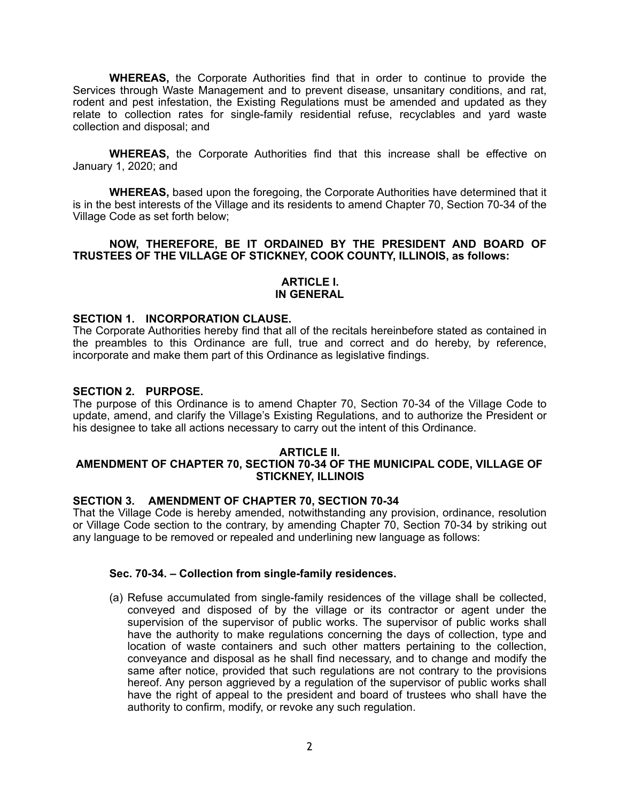**WHEREAS,** the Corporate Authorities find that in order to continue to provide the Services through Waste Management and to prevent disease, unsanitary conditions, and rat, rodent and pest infestation, the Existing Regulations must be amended and updated as they relate to collection rates for single-family residential refuse, recyclables and yard waste collection and disposal; and

**WHEREAS,** the Corporate Authorities find that this increase shall be effective on January 1, 2020; and

**WHEREAS,** based upon the foregoing, the Corporate Authorities have determined that it is in the best interests of the Village and its residents to amend Chapter 70, Section 70-34 of the Village Code as set forth below;

**NOW, THEREFORE, BE IT ORDAINED BY THE PRESIDENT AND BOARD OF TRUSTEES OF THE VILLAGE OF STICKNEY, COOK COUNTY, ILLINOIS, as follows:** 

### **ARTICLE I. IN GENERAL**

### **SECTION 1. INCORPORATION CLAUSE.**

The Corporate Authorities hereby find that all of the recitals hereinbefore stated as contained in the preambles to this Ordinance are full, true and correct and do hereby, by reference, incorporate and make them part of this Ordinance as legislative findings.

### **SECTION 2. PURPOSE.**

The purpose of this Ordinance is to amend Chapter 70, Section 70-34 of the Village Code to update, amend, and clarify the Village's Existing Regulations, and to authorize the President or his designee to take all actions necessary to carry out the intent of this Ordinance.

#### **ARTICLE II. AMENDMENT OF CHAPTER 70, SECTION 70-34 OF THE MUNICIPAL CODE, VILLAGE OF STICKNEY, ILLINOIS**

## **SECTION 3. AMENDMENT OF CHAPTER 70, SECTION 70-34**

That the Village Code is hereby amended, notwithstanding any provision, ordinance, resolution or Village Code section to the contrary, by amending Chapter 70, Section 70-34 by striking out any language to be removed or repealed and underlining new language as follows:

### **Sec. 70-34. – Collection from single-family residences.**

(a) Refuse accumulated from single-family residences of the village shall be collected, conveyed and disposed of by the village or its contractor or agent under the supervision of the supervisor of public works. The supervisor of public works shall have the authority to make regulations concerning the days of collection, type and location of waste containers and such other matters pertaining to the collection, conveyance and disposal as he shall find necessary, and to change and modify the same after notice, provided that such regulations are not contrary to the provisions hereof. Any person aggrieved by a regulation of the supervisor of public works shall have the right of appeal to the president and board of trustees who shall have the authority to confirm, modify, or revoke any such regulation.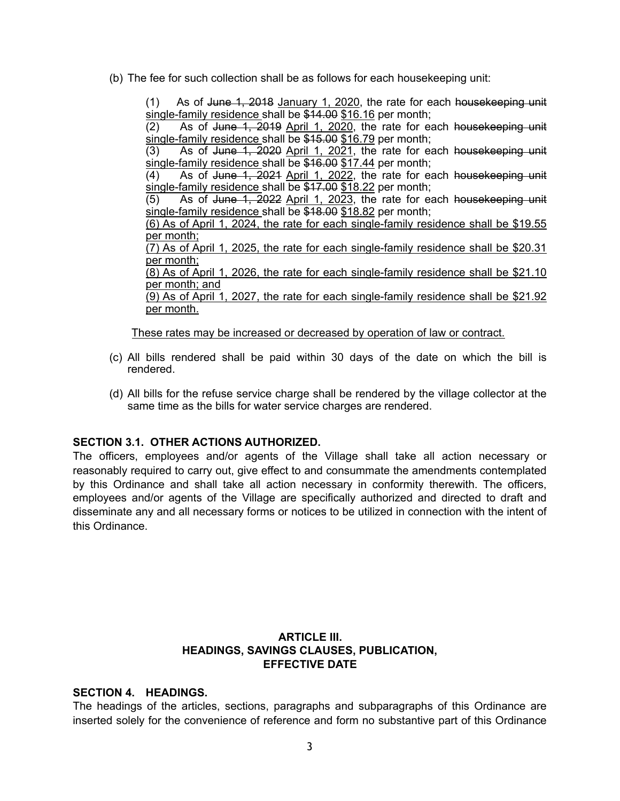(b) The fee for such collection shall be as follows for each housekeeping unit:

(1) As of June 1, 2018 January 1, 2020, the rate for each housekeeping unit single-family residence shall be \$14.00 \$16.16 per month;

(2) As of June 1, 2019 April 1, 2020, the rate for each housekeeping unit single-family residence shall be \$15.00 \$16.79 per month;

 $(3)$  As of June 1, 2020 April 1, 2021, the rate for each house keeping unit single-family residence shall be \$16.00 \$17.44 per month;

(4) As of June 1, 2021 April 1, 2022, the rate for each housekeeping unit single-family residence shall be \$17.00 \$18.22 per month;

(5) As of June 1, 2022 April 1, 2023, the rate for each housekeeping unit single-family residence shall be \$18.00 \$18.82 per month;

(6) As of April 1, 2024, the rate for each single-family residence shall be \$19.55 per month;

(7) As of April 1, 2025, the rate for each single-family residence shall be \$20.31 per month;

(8) As of April 1, 2026, the rate for each single-family residence shall be \$21.10 per month; and

(9) As of April 1, 2027, the rate for each single-family residence shall be \$21.92 per month.

These rates may be increased or decreased by operation of law or contract.

- (c) All bills rendered shall be paid within 30 days of the date on which the bill is rendered.
- (d) All bills for the refuse service charge shall be rendered by the village collector at the same time as the bills for water service charges are rendered.

### **SECTION 3.1. OTHER ACTIONS AUTHORIZED.**

The officers, employees and/or agents of the Village shall take all action necessary or reasonably required to carry out, give effect to and consummate the amendments contemplated by this Ordinance and shall take all action necessary in conformity therewith. The officers, employees and/or agents of the Village are specifically authorized and directed to draft and disseminate any and all necessary forms or notices to be utilized in connection with the intent of this Ordinance.

# **ARTICLE III. HEADINGS, SAVINGS CLAUSES, PUBLICATION, EFFECTIVE DATE**

### **SECTION 4. HEADINGS.**

The headings of the articles, sections, paragraphs and subparagraphs of this Ordinance are inserted solely for the convenience of reference and form no substantive part of this Ordinance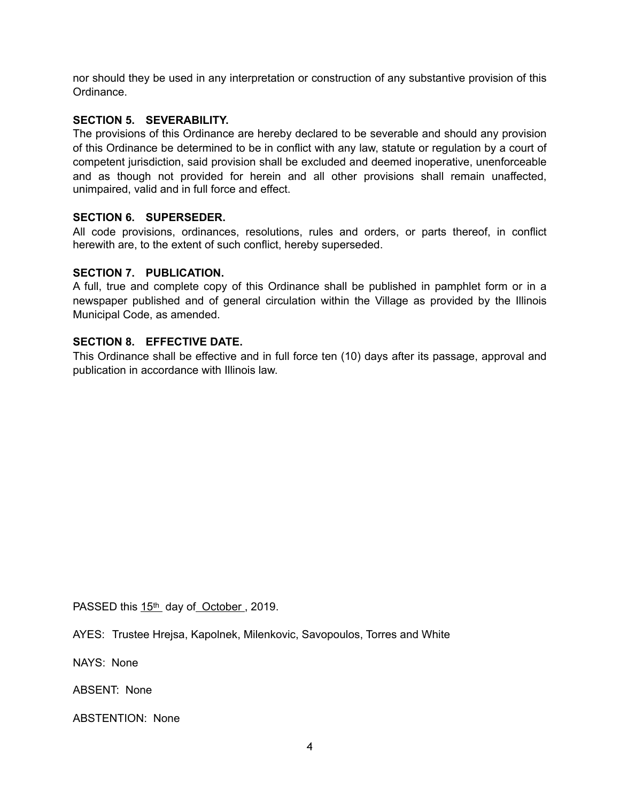nor should they be used in any interpretation or construction of any substantive provision of this Ordinance.

# **SECTION 5. SEVERABILITY.**

The provisions of this Ordinance are hereby declared to be severable and should any provision of this Ordinance be determined to be in conflict with any law, statute or regulation by a court of competent jurisdiction, said provision shall be excluded and deemed inoperative, unenforceable and as though not provided for herein and all other provisions shall remain unaffected, unimpaired, valid and in full force and effect.

# **SECTION 6. SUPERSEDER.**

All code provisions, ordinances, resolutions, rules and orders, or parts thereof, in conflict herewith are, to the extent of such conflict, hereby superseded.

# **SECTION 7. PUBLICATION.**

A full, true and complete copy of this Ordinance shall be published in pamphlet form or in a newspaper published and of general circulation within the Village as provided by the Illinois Municipal Code, as amended.

# **SECTION 8. EFFECTIVE DATE.**

This Ordinance shall be effective and in full force ten (10) days after its passage, approval and publication in accordance with Illinois law.

PASSED this 15<sup>th</sup> day of October, 2019.

AYES: Trustee Hrejsa, Kapolnek, Milenkovic, Savopoulos, Torres and White

NAYS: None

ABSENT: None

ABSTENTION: None